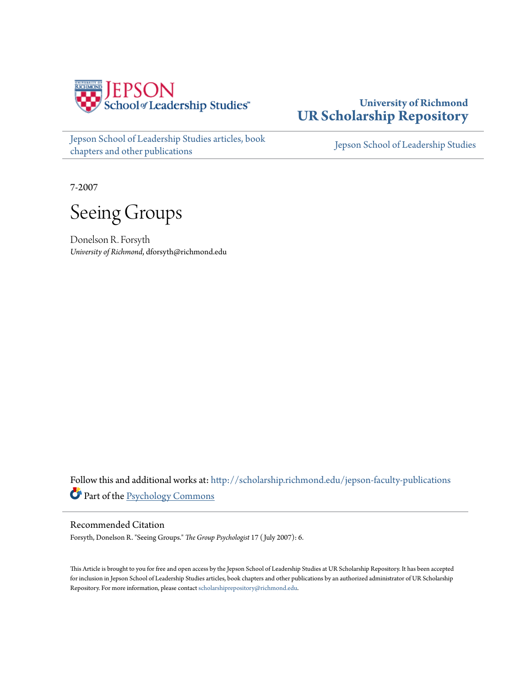

[Jepson School of Leadership Studies articles, book](http://scholarship.richmond.edu/jepson-faculty-publications?utm_source=scholarship.richmond.edu%2Fjepson-faculty-publications%2F181&utm_medium=PDF&utm_campaign=PDFCoverPages) [chapters and other publications](http://scholarship.richmond.edu/jepson-faculty-publications?utm_source=scholarship.richmond.edu%2Fjepson-faculty-publications%2F181&utm_medium=PDF&utm_campaign=PDFCoverPages)

## **University of Richmond [UR Scholarship Repository](http://scholarship.richmond.edu?utm_source=scholarship.richmond.edu%2Fjepson-faculty-publications%2F181&utm_medium=PDF&utm_campaign=PDFCoverPages)**

[Jepson School of Leadership Studies](http://scholarship.richmond.edu/jepson?utm_source=scholarship.richmond.edu%2Fjepson-faculty-publications%2F181&utm_medium=PDF&utm_campaign=PDFCoverPages)

7-2007

Seeing Groups

Donelson R. Forsyth *University of Richmond*, dforsyth@richmond.edu

Follow this and additional works at: [http://scholarship.richmond.edu/jepson-faculty-publications](http://scholarship.richmond.edu/jepson-faculty-publications?utm_source=scholarship.richmond.edu%2Fjepson-faculty-publications%2F181&utm_medium=PDF&utm_campaign=PDFCoverPages) Part of the [Psychology Commons](http://network.bepress.com/hgg/discipline/404?utm_source=scholarship.richmond.edu%2Fjepson-faculty-publications%2F181&utm_medium=PDF&utm_campaign=PDFCoverPages)

### Recommended Citation

Forsyth, Donelson R. "Seeing Groups." *The Group Psychologist* 17 ( July 2007): 6.

This Article is brought to you for free and open access by the Jepson School of Leadership Studies at UR Scholarship Repository. It has been accepted for inclusion in Jepson School of Leadership Studies articles, book chapters and other publications by an authorized administrator of UR Scholarship Repository. For more information, please contact [scholarshiprepository@richmond.edu.](mailto:scholarshiprepository@richmond.edu)